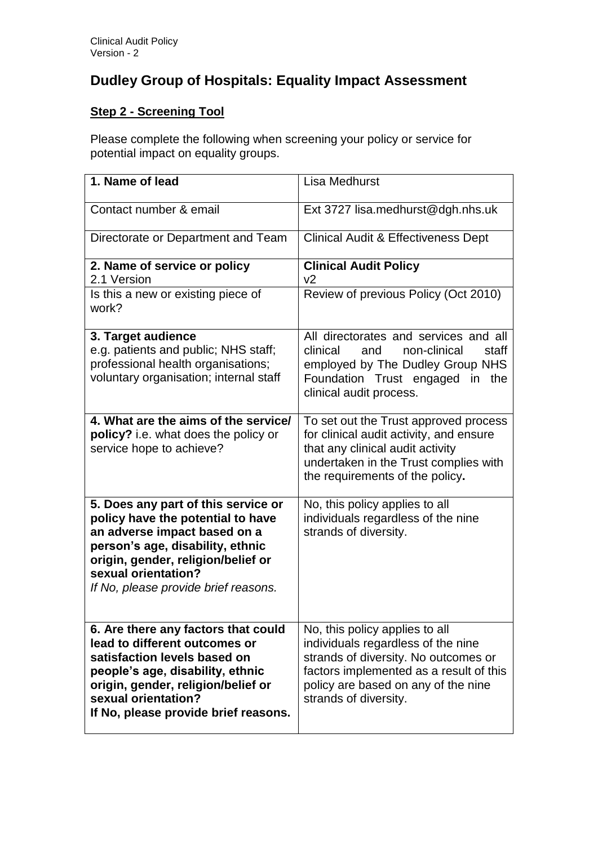## **Dudley Group of Hospitals: Equality Impact Assessment**

## **Step 2 - Screening Tool**

Please complete the following when screening your policy or service for potential impact on equality groups.

| 1. Name of lead                                                                                                                                                                                                                                   | <b>Lisa Medhurst</b>                                                                                                                                                                                                    |
|---------------------------------------------------------------------------------------------------------------------------------------------------------------------------------------------------------------------------------------------------|-------------------------------------------------------------------------------------------------------------------------------------------------------------------------------------------------------------------------|
|                                                                                                                                                                                                                                                   |                                                                                                                                                                                                                         |
| Contact number & email                                                                                                                                                                                                                            | Ext 3727 lisa.medhurst@dgh.nhs.uk                                                                                                                                                                                       |
| Directorate or Department and Team                                                                                                                                                                                                                | Clinical Audit & Effectiveness Dept                                                                                                                                                                                     |
| 2. Name of service or policy<br>2.1 Version                                                                                                                                                                                                       | <b>Clinical Audit Policy</b><br>v <sub>2</sub>                                                                                                                                                                          |
| Is this a new or existing piece of<br>work?                                                                                                                                                                                                       | Review of previous Policy (Oct 2010)                                                                                                                                                                                    |
| 3. Target audience<br>e.g. patients and public; NHS staff;<br>professional health organisations;<br>voluntary organisation; internal staff                                                                                                        | All directorates and services and all<br>clinical<br>and<br>non-clinical<br>staff<br>employed by The Dudley Group NHS<br>Foundation Trust engaged in the<br>clinical audit process.                                     |
| 4. What are the aims of the service/<br>policy? i.e. what does the policy or<br>service hope to achieve?                                                                                                                                          | To set out the Trust approved process<br>for clinical audit activity, and ensure<br>that any clinical audit activity<br>undertaken in the Trust complies with<br>the requirements of the policy.                        |
| 5. Does any part of this service or<br>policy have the potential to have<br>an adverse impact based on a<br>person's age, disability, ethnic<br>origin, gender, religion/belief or<br>sexual orientation?<br>If No, please provide brief reasons. | No, this policy applies to all<br>individuals regardless of the nine<br>strands of diversity.                                                                                                                           |
| 6. Are there any factors that could<br>lead to different outcomes or<br>satisfaction levels based on<br>people's age, disability, ethnic<br>origin, gender, religion/belief or<br>sexual orientation?<br>If No, please provide brief reasons.     | No, this policy applies to all<br>individuals regardless of the nine<br>strands of diversity. No outcomes or<br>factors implemented as a result of this<br>policy are based on any of the nine<br>strands of diversity. |